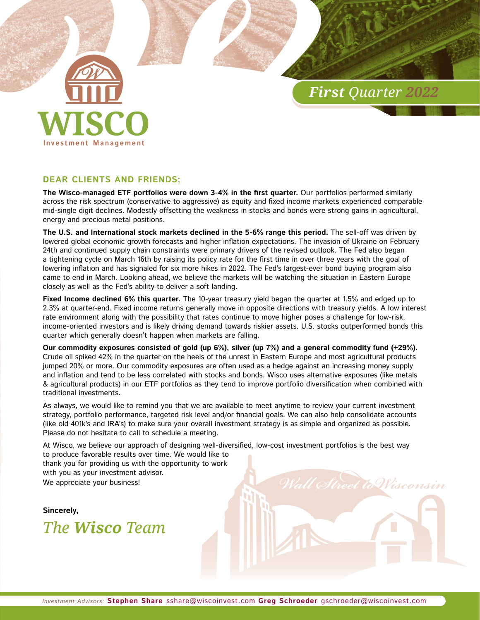$\blacktriangledown$ **Investment Management** 

*First Quarter 2022*

#### **DEAR CLIENTS AND FRIENDS;**

**The Wisco-managed ETF portfolios were down 3-4% in the first quarter.** Our portfolios performed similarly across the risk spectrum (conservative to aggressive) as equity and fixed income markets experienced comparable mid-single digit declines. Modestly offsetting the weakness in stocks and bonds were strong gains in agricultural, energy and precious metal positions.

**The U.S. and International stock markets declined in the 5-6% range this period.** The sell-off was driven by lowered global economic growth forecasts and higher inflation expectations. The invasion of Ukraine on February 24th and continued supply chain constraints were primary drivers of the revised outlook. The Fed also began a tightening cycle on March 16th by raising its policy rate for the first time in over three years with the goal of lowering inflation and has signaled for six more hikes in 2022. The Fed's largest-ever bond buying program also came to end in March. Looking ahead, we believe the markets will be watching the situation in Eastern Europe closely as well as the Fed's ability to deliver a soft landing.

**Fixed Income declined 6% this quarter.** The 10-year treasury yield began the quarter at 1.5% and edged up to 2.3% at quarter-end. Fixed income returns generally move in opposite directions with treasury yields. A low interest rate environment along with the possibility that rates continue to move higher poses a challenge for low-risk, income-oriented investors and is likely driving demand towards riskier assets. U.S. stocks outperformed bonds this quarter which generally doesn't happen when markets are falling.

**Our commodity exposures consisted of gold (up 6%), silver (up 7%) and a general commodity fund (+29%).** Crude oil spiked 42% in the quarter on the heels of the unrest in Eastern Europe and most agricultural products jumped 20% or more. Our commodity exposures are often used as a hedge against an increasing money supply and inflation and tend to be less correlated with stocks and bonds. Wisco uses alternative exposures (like metals & agricultural products) in our ETF portfolios as they tend to improve portfolio diversification when combined with traditional investments.

As always, we would like to remind you that we are available to meet anytime to review your current investment strategy, portfolio performance, targeted risk level and/or financial goals. We can also help consolidate accounts (like old 401k's and IRA's) to make sure your overall investment strategy is as simple and organized as possible. Please do not hesitate to call to schedule a meeting.

At Wisco, we believe our approach of designing well-diversified, low-cost investment portfolios is the best way to produce favorable results over time. We would like to thank you for providing us with the opportunity to work with you as your investment advisor. Wall Street to Wisconsin We appreciate your business!

**Sincerely,** *The Wisco Team*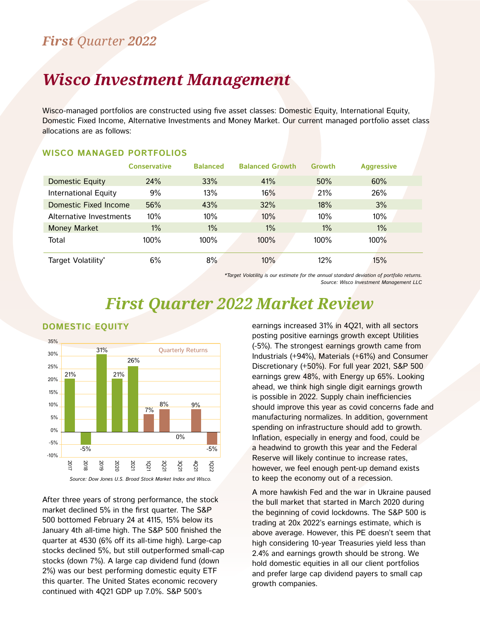### *First Quarter 2022*

## *Wisco Investment Management*

Wisco-managed portfolios are constructed using five asset classes: Domestic Equity, International Equity, Domestic Fixed Income, Alternative Investments and Money Market. Our current managed portfolio asset class allocations are as follows:

#### **WISCO MANAGED PORTFOLIOS**

|                         | <b>Conservative</b> | <b>Balanced</b> | <b>Balanced Growth</b> | <b>Growth</b> | <b>Aggressive</b> |  |
|-------------------------|---------------------|-----------------|------------------------|---------------|-------------------|--|
| <b>Domestic Equity</b>  | 24%                 | 33%             | 41%                    | 50%           | 60%               |  |
| International Equity    | 9%                  | 13%             | 16%                    | 21%           | 26%               |  |
| Domestic Fixed Income   | 56%                 | 43%             | 32%                    | 18%           | 3%                |  |
| Alternative Investments | 10%                 | 10%             | 10%                    | 10%           | 10%               |  |
| <b>Money Market</b>     | $1\%$               | 1%              | 1%                     | $1\%$         | 1%                |  |
| Total                   | 100%                | $100\%$         | 100%                   | 100%          | 100%              |  |
| Target Volatility*      | 6%                  | 8%              | 10%                    | 12%           | 15%               |  |

*\*Target Volatility is our estimate for the annual standard deviation of portfolio returns. Source: Wisco Investment Management LLC*

# *First Quarter 2022 Market Review*



After three years of strong performance, the stock market declined 5% in the first quarter. The S&P 500 bottomed February 24 at 4115, 15% below its January 4th all-time high. The S&P 500 finished the quarter at 4530 (6% off its all-time high). Large-cap stocks declined 5%, but still outperformed small-cap stocks (down 7%). A large cap dividend fund (down 2%) was our best performing domestic equity ETF this quarter. The United States economic recovery continued with 4Q21 GDP up 7.0%. S&P 500's

earnings increased 31% in 4Q21, with all sectors posting positive earnings growth except Utilities (-5%). The strongest earnings growth came from Industrials (+94%), Materials (+61%) and Consumer Discretionary (+50%). For full year 2021, S&P 500 earnings grew 48%, with Energy up 65%. Looking ahead, we think high single digit earnings growth is possible in 2022. Supply chain inefficiencies should improve this year as covid concerns fade and manufacturing normalizes. In addition, government spending on infrastructure should add to growth. Inflation, especially in energy and food, could be a headwind to growth this year and the Federal Reserve will likely continue to increase rates, however, we feel enough pent-up demand exists to keep the economy out of a recession.

A more hawkish Fed and the war in Ukraine paused the bull market that started in March 2020 during the beginning of covid lockdowns. The S&P 500 is trading at 20x 2022's earnings estimate, which is above average. However, this PE doesn't seem that high considering 10-year Treasuries yield less than 2.4% and earnings growth should be strong. We hold domestic equities in all our client portfolios and prefer large cap dividend payers to small cap growth companies.

### **DOMESTIC EQUITY**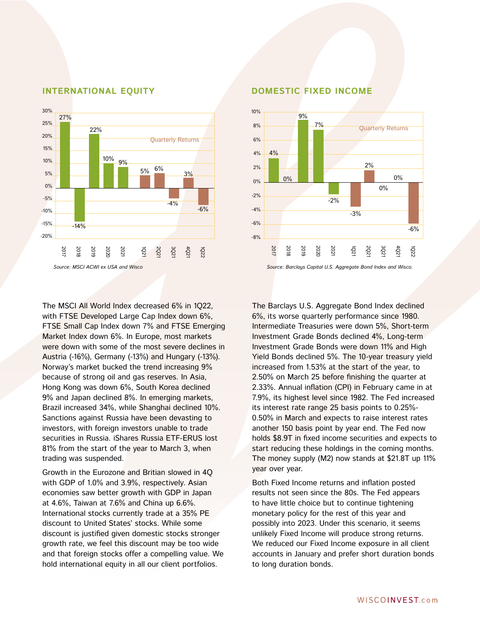

The MSCI All World Index decreased 6% in 1Q22, with FTSE Developed Large Cap Index down 6%, FTSE Small Cap Index down 7% and FTSE Emerging Market Index down 6%. In Europe, most markets were down with some of the most severe declines in Austria (-16%), Germany (-13%) and Hungary (-13%). Norway's market bucked the trend increasing 9% because of strong oil and gas reserves. In Asia, Hong Kong was down 6%, South Korea declined 9% and Japan declined 8%. In emerging markets, Brazil increased 34%, while Shanghai declined 10%. Sanctions against Russia have been devasting to investors, with foreign investors unable to trade securities in Russia. iShares Russia ETF-ERUS lost 81% from the start of the year to March 3, when trading was suspended.

Growth in the Eurozone and Britian slowed in 4Q with GDP of 1.0% and 3.9%, respectively. Asian economies saw better growth with GDP in Japan at 4.6%, Taiwan at 7.6% and China up 6.6%. International stocks currently trade at a 35% PE discount to United States' stocks. While some discount is justified given domestic stocks stronger growth rate, we feel this discount may be too wide and that foreign stocks offer a compelling value. We hold international equity in all our client portfolios.

**INTERNATIONAL EQUITY DOMESTIC FIXED INCOME**



The Barclays U.S. Aggregate Bond Index declined 6%, its worse quarterly performance since 1980. Intermediate Treasuries were down 5%, Short-term Investment Grade Bonds declined 4%, Long-term Investment Grade Bonds were down 11% and High Yield Bonds declined 5%. The 10-year treasury yield increased from 1.53% at the start of the year, to 2.50% on March 25 before finishing the quarter at 2.33%. Annual inflation (CPI) in February came in at 7.9%, its highest level since 1982. The Fed increased its interest rate range 25 basis points to 0.25%- 0.50% in March and expects to raise interest rates another 150 basis point by year end. The Fed now holds \$8.9T in fixed income securities and expects to start reducing these holdings in the coming months. The money supply (M2) now stands at \$21.8T up 11% year over year.

Both Fixed Income returns and inflation posted results not seen since the 80s. The Fed appears to have little choice but to continue tightening monetary policy for the rest of this year and possibly into 2023. Under this scenario, it seems unlikely Fixed Income will produce strong returns. We reduced our Fixed Income exposure in all client accounts in January and prefer short duration bonds to long duration bonds.